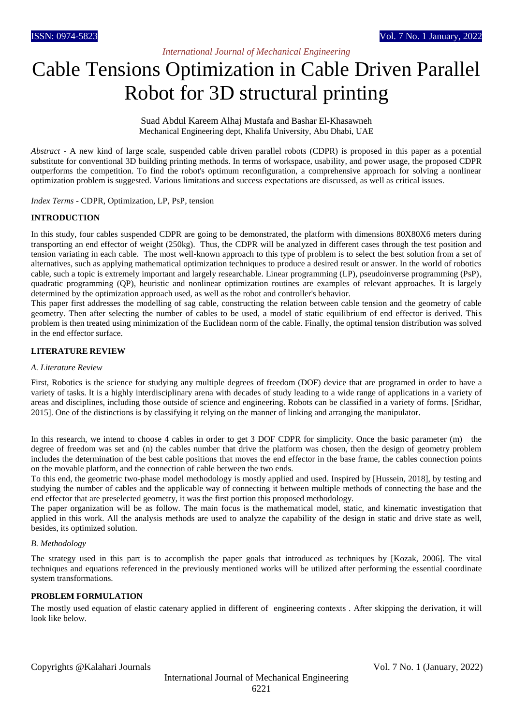# *International Journal of Mechanical Engineering*

# Cable Tensions Optimization in Cable Driven Parallel Robot for 3D structural printing

Suad Abdul Kareem Alhaj Mustafa and Bashar El-Khasawneh Mechanical Engineering dept, Khalifa University, Abu Dhabi, UAE

*Abstract* - A new kind of large scale, suspended cable driven parallel robots (CDPR) is proposed in this paper as a potential substitute for conventional 3D building printing methods. In terms of workspace, usability, and power usage, the proposed CDPR outperforms the competition. To find the robot's optimum reconfiguration, a comprehensive approach for solving a nonlinear optimization problem is suggested. Various limitations and success expectations are discussed, as well as critical issues.

*Index Terms* - CDPR, Optimization, LP, PsP, tension

# **INTRODUCTION**

In this study, four cables suspended CDPR are going to be demonstrated, the platform with dimensions 80X80X6 meters during transporting an end effector of weight (250kg). Thus, the CDPR will be analyzed in different cases through the test position and tension variating in each cable. The most well-known approach to this type of problem is to select the best solution from a set of alternatives, such as applying mathematical optimization techniques to produce a desired result or answer. In the world of robotics cable, such a topic is extremely important and largely researchable. Linear programming (LP), pseudoinverse programming (PsP), quadratic programming (QP), heuristic and nonlinear optimization routines are examples of relevant approaches. It is largely determined by the optimization approach used, as well as the robot and controller's behavior.

This paper first addresses the modelling of sag cable, constructing the relation between cable tension and the geometry of cable geometry. Then after selecting the number of cables to be used, a model of static equilibrium of end effector is derived. This problem is then treated using minimization of the Euclidean norm of the cable. Finally, the optimal tension distribution was solved in the end effector surface.

# **LITERATURE REVIEW**

## *A. Literature Review*

First, Robotics is the science for studying any multiple degrees of freedom (DOF) device that are programed in order to have a variety of tasks. It is a highly interdisciplinary arena with decades of study leading to a wide range of applications in a variety of areas and disciplines, including those outside of science and engineering. Robots can be classified in a variety of forms. [Sridhar, 2015]. One of the distinctions is by classifying it relying on the manner of linking and arranging the manipulator.

In this research, we intend to choose 4 cables in order to get 3 DOF CDPR for simplicity. Once the basic parameter (m) the degree of freedom was set and (n) the cables number that drive the platform was chosen, then the design of geometry problem includes the determination of the best cable positions that moves the end effector in the base frame, the cables connection points on the movable platform, and the connection of cable between the two ends.

To this end, the geometric two-phase model methodology is mostly applied and used. Inspired by [Hussein, 2018], by testing and studying the number of cables and the applicable way of connecting it between multiple methods of connecting the base and the end effector that are preselected geometry, it was the first portion this proposed methodology.

The paper organization will be as follow. The main focus is the mathematical model, static, and kinematic investigation that applied in this work. All the analysis methods are used to analyze the capability of the design in static and drive state as well, besides, its optimized solution.

# *B. Methodology*

The strategy used in this part is to accomplish the paper goals that introduced as techniques by [Kozak, 2006]. The vital techniques and equations referenced in the previously mentioned works will be utilized after performing the essential coordinate system transformations.

# **PROBLEM FORMULATION**

The mostly used equation of elastic catenary applied in different of engineering contexts . After skipping the derivation, it will look like below.

Copyrights @Kalahari Journals Vol. 7 No. 1 (January, 2022)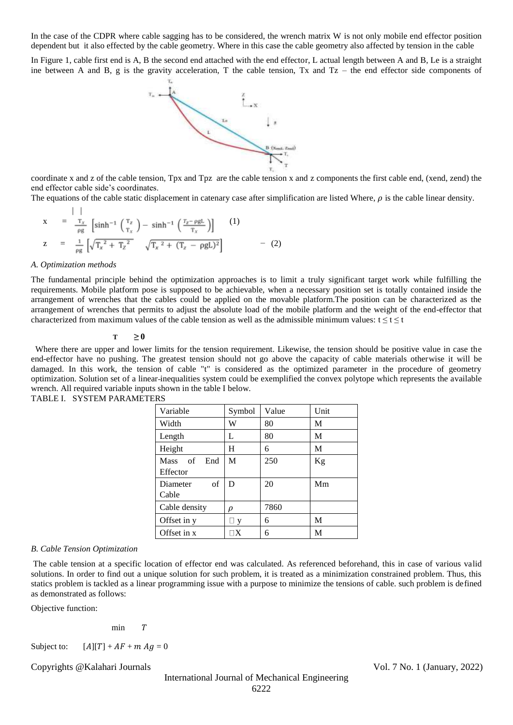In the case of the CDPR where cable sagging has to be considered, the wrench matrix W is not only mobile end effector position dependent but it also effected by the cable geometry. Where in this case the cable geometry also affected by tension in the cable

In Figure 1, cable first end is A, B the second end attached with the end effector, L actual length between A and B, Le is a straight ine between A and B, g is the gravity acceleration, T the cable tension, Tx and  $Tz$  – the end effector side components of



coordinate x and z of the cable tension, Tpx and Tpz are the cable tension x and z components the first cable end, (xend, zend) the end effector cable side's coordinates.

The equations of the cable static displacement in catenary case after simplification are listed Where,  $\rho$  is the cable linear density.

$$
x = \frac{1}{\rho g} \left[ \sinh^{-1} \left( \frac{T_z}{T_x} \right) - \sinh^{-1} \left( \frac{T_z - \rho g L}{T_x} \right) \right] \quad (1)
$$
  
\n
$$
z = \frac{1}{\rho g} \left[ \sqrt{T_x^2 + T_z^2} \quad \sqrt{T_x^2 + (T_z - \rho g L)^2} \right] \quad (2)
$$

#### *A. Optimization methods*

 $| \cdot |$ 

The fundamental principle behind the optimization approaches is to limit a truly significant target work while fulfilling the requirements. Mobile platform pose is supposed to be achievable, when a necessary position set is totally contained inside the arrangement of wrenches that the cables could be applied on the movable platform.The position can be characterized as the arrangement of wrenches that permits to adjust the absolute load of the mobile platform and the weight of the end-effector that characterized from maximum values of the cable tension as well as the admissible minimum values:  $t < t < t$ 

## $T \geq 0$

 Where there are upper and lower limits for the tension requirement. Likewise, the tension should be positive value in case the end-effector have no pushing. The greatest tension should not go above the capacity of cable materials otherwise it will be damaged. In this work, the tension of cable "t" is considered as the optimized parameter in the procedure of geometry optimization. Solution set of a linear inequalities system could be exemplified the convex polytope which represents the available wrench. All required variable inputs shown in the table I below.

| Variable                             | Symbol             | Value | Unit |
|--------------------------------------|--------------------|-------|------|
| Width                                | W                  | 80    | M    |
| Length                               | L                  | 80    | М    |
| Height                               | H                  | 6     | М    |
| of<br>End<br><b>Mass</b><br>Effector | M                  | 250   | Kg   |
| of<br>Diameter<br>Cable              | D                  | 20    | Mm   |
| Cable density                        | ρ                  | 7860  |      |
| Offset in y                          | ⊥ y                | 6     | M    |
| Offset in x                          | $\sqcap\mathrm{X}$ | 6     | M    |
|                                      |                    |       |      |



# *B. Cable Tension Optimization*

The cable tension at a specific location of effector end was calculated. As referenced beforehand, this in case of various valid solutions. In order to find out a unique solution for such problem, it is treated as a minimization constrained problem. Thus, this statics problem is tackled as a linear programming issue with a purpose to minimize the tensions of cable. such problem is defined as demonstrated as follows:

Objective function:

 $min \t T$ 

Subject to:  $[A][T] + AF + m A g = 0$ 

Copyrights @Kalahari Journals Vol. 7 No. 1 (January, 2022)